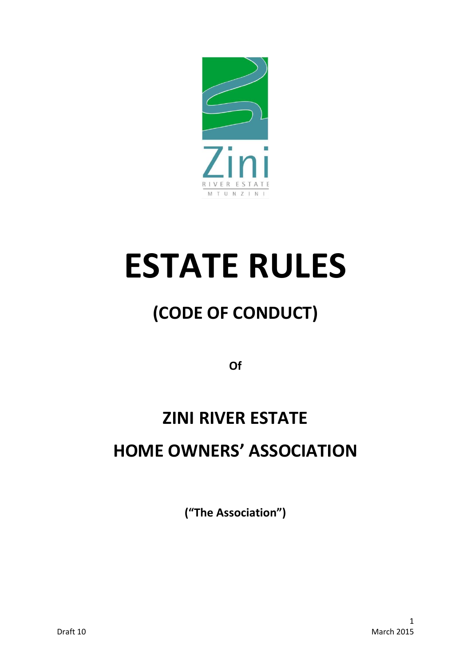

# **ESTATE RULES**

# **(CODE OF CONDUCT)**

**Of** 

# **ZINI RIVER ESTATE HOME OWNERS' ASSOCIATION**

**("The Association")**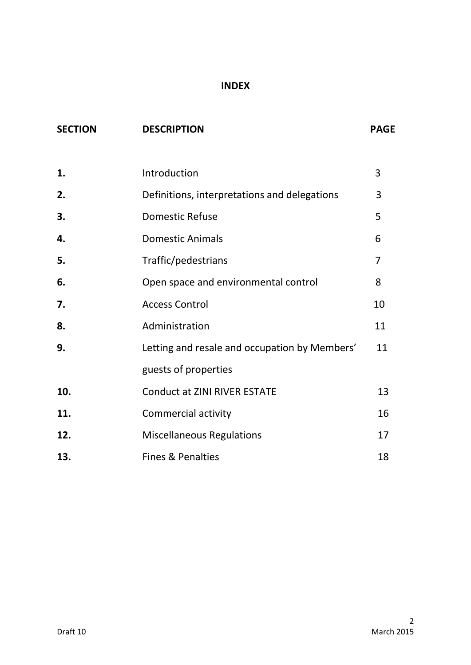### **INDEX**

| <b>SECTION</b> | <b>DESCRIPTION</b>                            | <b>PAGE</b> |
|----------------|-----------------------------------------------|-------------|
|                |                                               |             |
| 1.             | Introduction                                  | 3           |
| 2.             | Definitions, interpretations and delegations  | 3           |
| 3.             | <b>Domestic Refuse</b>                        | 5           |
| 4.             | <b>Domestic Animals</b>                       | 6           |
| 5.             | Traffic/pedestrians                           | 7           |
| 6.             | Open space and environmental control          | 8           |
| 7.             | <b>Access Control</b>                         | 10          |
| 8.             | Administration                                | 11          |
| 9.             | Letting and resale and occupation by Members' | 11          |
|                | guests of properties                          |             |
| 10.            | <b>Conduct at ZINI RIVER ESTATE</b>           | 13          |
| 11.            | Commercial activity                           | 16          |
| 12.            | <b>Miscellaneous Regulations</b>              | 17          |
| 13.            | <b>Fines &amp; Penalties</b>                  | 18          |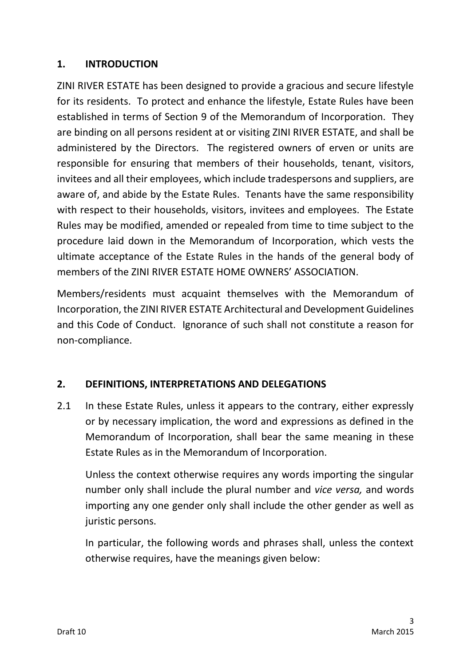# **1. INTRODUCTION**

ZINI RIVER ESTATE has been designed to provide a gracious and secure lifestyle for its residents. To protect and enhance the lifestyle, Estate Rules have been established in terms of Section 9 of the Memorandum of Incorporation. They are binding on all persons resident at or visiting ZINI RIVER ESTATE, and shall be administered by the Directors. The registered owners of erven or units are responsible for ensuring that members of their households, tenant, visitors, invitees and all their employees, which include tradespersons and suppliers, are aware of, and abide by the Estate Rules. Tenants have the same responsibility with respect to their households, visitors, invitees and employees. The Estate Rules may be modified, amended or repealed from time to time subject to the procedure laid down in the Memorandum of Incorporation, which vests the ultimate acceptance of the Estate Rules in the hands of the general body of members of the ZINI RIVER ESTATE HOME OWNERS' ASSOCIATION.

Members/residents must acquaint themselves with the Memorandum of Incorporation, the ZINI RIVER ESTATE Architectural and Development Guidelines and this Code of Conduct. Ignorance of such shall not constitute a reason for non-compliance.

# **2. DEFINITIONS, INTERPRETATIONS AND DELEGATIONS**

2.1 In these Estate Rules, unless it appears to the contrary, either expressly or by necessary implication, the word and expressions as defined in the Memorandum of Incorporation, shall bear the same meaning in these Estate Rules as in the Memorandum of Incorporation.

Unless the context otherwise requires any words importing the singular number only shall include the plural number and *vice versa,* and words importing any one gender only shall include the other gender as well as juristic persons.

In particular, the following words and phrases shall, unless the context otherwise requires, have the meanings given below: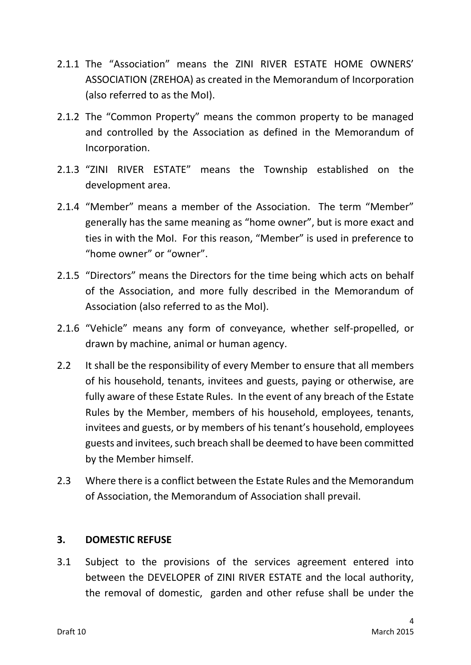- 2.1.1 The "Association" means the ZINI RIVER ESTATE HOME OWNERS' ASSOCIATION (ZREHOA) as created in the Memorandum of Incorporation (also referred to as the MoI).
- 2.1.2 The "Common Property" means the common property to be managed and controlled by the Association as defined in the Memorandum of Incorporation.
- 2.1.3 "ZINI RIVER ESTATE" means the Township established on the development area.
- 2.1.4 "Member" means a member of the Association. The term "Member" generally has the same meaning as "home owner", but is more exact and ties in with the MoI. For this reason, "Member" is used in preference to "home owner" or "owner".
- 2.1.5 "Directors" means the Directors for the time being which acts on behalf of the Association, and more fully described in the Memorandum of Association (also referred to as the MoI).
- 2.1.6 "Vehicle" means any form of conveyance, whether self-propelled, or drawn by machine, animal or human agency.
- 2.2 It shall be the responsibility of every Member to ensure that all members of his household, tenants, invitees and guests, paying or otherwise, are fully aware of these Estate Rules. In the event of any breach of the Estate Rules by the Member, members of his household, employees, tenants, invitees and guests, or by members of his tenant's household, employees guests and invitees, such breach shall be deemed to have been committed by the Member himself.
- 2.3 Where there is a conflict between the Estate Rules and the Memorandum of Association, the Memorandum of Association shall prevail.

### **3. DOMESTIC REFUSE**

3.1 Subject to the provisions of the services agreement entered into between the DEVELOPER of ZINI RIVER ESTATE and the local authority, the removal of domestic, garden and other refuse shall be under the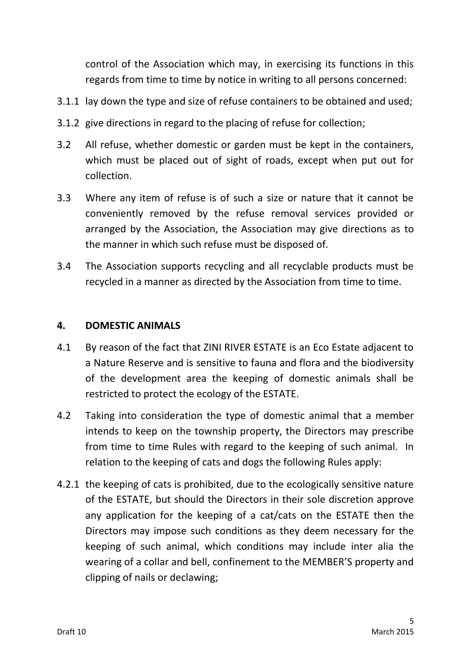control of the Association which may, in exercising its functions in this regards from time to time by notice in writing to all persons concerned:

- 3.1.1 lay down the type and size of refuse containers to be obtained and used;
- 3.1.2 give directions in regard to the placing of refuse for collection;
- 3.2 All refuse, whether domestic or garden must be kept in the containers, which must be placed out of sight of roads, except when put out for collection.
- 3.3 Where any item of refuse is of such a size or nature that it cannot be conveniently removed by the refuse removal services provided or arranged by the Association, the Association may give directions as to the manner in which such refuse must be disposed of.
- 3.4 The Association supports recycling and all recyclable products must be recycled in a manner as directed by the Association from time to time.

#### **4. DOMESTIC ANIMALS**

- 4.1 By reason of the fact that ZINI RIVER ESTATE is an Eco Estate adjacent to a Nature Reserve and is sensitive to fauna and flora and the biodiversity of the development area the keeping of domestic animals shall be restricted to protect the ecology of the ESTATE.
- 4.2 Taking into consideration the type of domestic animal that a member intends to keep on the township property, the Directors may prescribe from time to time Rules with regard to the keeping of such animal. In relation to the keeping of cats and dogs the following Rules apply:
- 4.2.1 the keeping of cats is prohibited, due to the ecologically sensitive nature of the ESTATE, but should the Directors in their sole discretion approve any application for the keeping of a cat/cats on the ESTATE then the Directors may impose such conditions as they deem necessary for the keeping of such animal, which conditions may include inter alia the wearing of a collar and bell, confinement to the MEMBER'S property and clipping of nails or declawing;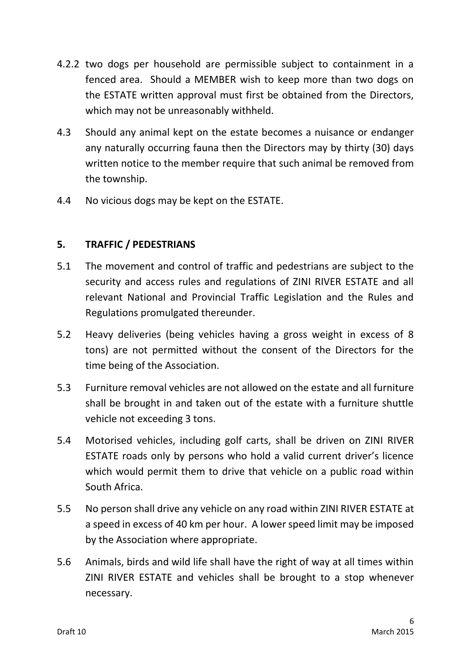- 4.2.2 two dogs per household are permissible subject to containment in a fenced area. Should a MEMBER wish to keep more than two dogs on the ESTATE written approval must first be obtained from the Directors, which may not be unreasonably withheld.
- 4.3 Should any animal kept on the estate becomes a nuisance or endanger any naturally occurring fauna then the Directors may by thirty (30) days written notice to the member require that such animal be removed from the township.
- 4.4 No vicious dogs may be kept on the ESTATE.

# **5. TRAFFIC / PEDESTRIANS**

- 5.1 The movement and control of traffic and pedestrians are subject to the security and access rules and regulations of ZINI RIVER ESTATE and all relevant National and Provincial Traffic Legislation and the Rules and Regulations promulgated thereunder.
- 5.2 Heavy deliveries (being vehicles having a gross weight in excess of 8 tons) are not permitted without the consent of the Directors for the time being of the Association.
- 5.3 Furniture removal vehicles are not allowed on the estate and all furniture shall be brought in and taken out of the estate with a furniture shuttle vehicle not exceeding 3 tons.
- 5.4 Motorised vehicles, including golf carts, shall be driven on ZINI RIVER ESTATE roads only by persons who hold a valid current driver's licence which would permit them to drive that vehicle on a public road within South Africa.
- 5.5 No person shall drive any vehicle on any road within ZINI RIVER ESTATE at a speed in excess of 40 km per hour. A lower speed limit may be imposed by the Association where appropriate.
- 5.6 Animals, birds and wild life shall have the right of way at all times within ZINI RIVER ESTATE and vehicles shall be brought to a stop whenever necessary.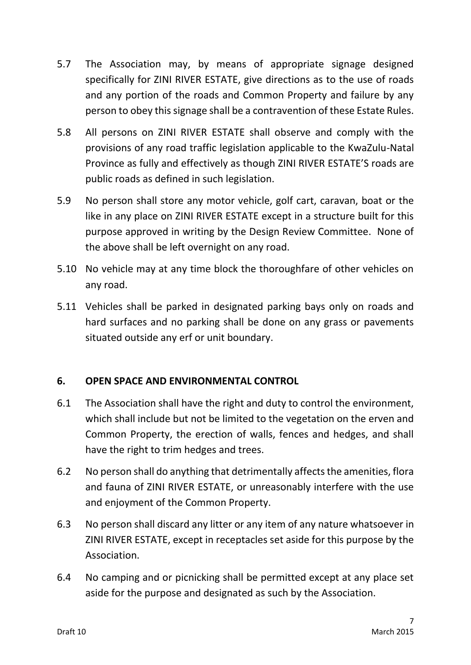- 5.7 The Association may, by means of appropriate signage designed specifically for ZINI RIVER ESTATE, give directions as to the use of roads and any portion of the roads and Common Property and failure by any person to obey this signage shall be a contravention of these Estate Rules.
- 5.8 All persons on ZINI RIVER ESTATE shall observe and comply with the provisions of any road traffic legislation applicable to the KwaZulu-Natal Province as fully and effectively as though ZINI RIVER ESTATE'S roads are public roads as defined in such legislation.
- 5.9 No person shall store any motor vehicle, golf cart, caravan, boat or the like in any place on ZINI RIVER ESTATE except in a structure built for this purpose approved in writing by the Design Review Committee. None of the above shall be left overnight on any road.
- 5.10 No vehicle may at any time block the thoroughfare of other vehicles on any road.
- 5.11 Vehicles shall be parked in designated parking bays only on roads and hard surfaces and no parking shall be done on any grass or pavements situated outside any erf or unit boundary.

# **6. OPEN SPACE AND ENVIRONMENTAL CONTROL**

- 6.1 The Association shall have the right and duty to control the environment, which shall include but not be limited to the vegetation on the erven and Common Property, the erection of walls, fences and hedges, and shall have the right to trim hedges and trees.
- 6.2 No person shall do anything that detrimentally affects the amenities, flora and fauna of ZINI RIVER ESTATE, or unreasonably interfere with the use and enjoyment of the Common Property.
- 6.3 No person shall discard any litter or any item of any nature whatsoever in ZINI RIVER ESTATE, except in receptacles set aside for this purpose by the Association.
- 6.4 No camping and or picnicking shall be permitted except at any place set aside for the purpose and designated as such by the Association.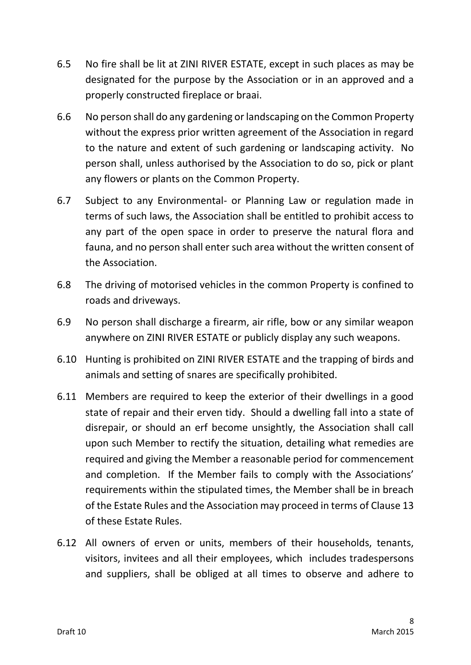- 6.5 No fire shall be lit at ZINI RIVER ESTATE, except in such places as may be designated for the purpose by the Association or in an approved and a properly constructed fireplace or braai.
- 6.6 No person shall do any gardening or landscaping on the Common Property without the express prior written agreement of the Association in regard to the nature and extent of such gardening or landscaping activity. No person shall, unless authorised by the Association to do so, pick or plant any flowers or plants on the Common Property.
- 6.7 Subject to any Environmental- or Planning Law or regulation made in terms of such laws, the Association shall be entitled to prohibit access to any part of the open space in order to preserve the natural flora and fauna, and no person shall enter such area without the written consent of the Association.
- 6.8 The driving of motorised vehicles in the common Property is confined to roads and driveways.
- 6.9 No person shall discharge a firearm, air rifle, bow or any similar weapon anywhere on ZINI RIVER ESTATE or publicly display any such weapons.
- 6.10 Hunting is prohibited on ZINI RIVER ESTATE and the trapping of birds and animals and setting of snares are specifically prohibited.
- 6.11 Members are required to keep the exterior of their dwellings in a good state of repair and their erven tidy. Should a dwelling fall into a state of disrepair, or should an erf become unsightly, the Association shall call upon such Member to rectify the situation, detailing what remedies are required and giving the Member a reasonable period for commencement and completion. If the Member fails to comply with the Associations' requirements within the stipulated times, the Member shall be in breach of the Estate Rules and the Association may proceed in terms of Clause 13 of these Estate Rules.
- 6.12 All owners of erven or units, members of their households, tenants, visitors, invitees and all their employees, which includes tradespersons and suppliers, shall be obliged at all times to observe and adhere to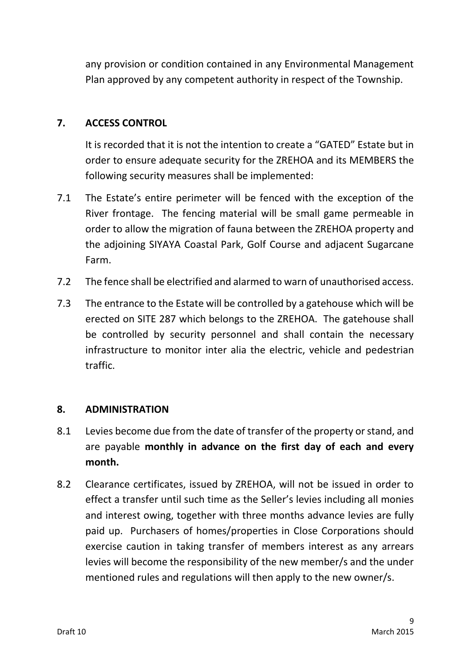any provision or condition contained in any Environmental Management Plan approved by any competent authority in respect of the Township.

# **7. ACCESS CONTROL**

It is recorded that it is not the intention to create a "GATED" Estate but in order to ensure adequate security for the ZREHOA and its MEMBERS the following security measures shall be implemented:

- 7.1 The Estate's entire perimeter will be fenced with the exception of the River frontage. The fencing material will be small game permeable in order to allow the migration of fauna between the ZREHOA property and the adjoining SIYAYA Coastal Park, Golf Course and adjacent Sugarcane Farm.
- 7.2 The fence shall be electrified and alarmed to warn of unauthorised access.
- 7.3 The entrance to the Estate will be controlled by a gatehouse which will be erected on SITE 287 which belongs to the ZREHOA. The gatehouse shall be controlled by security personnel and shall contain the necessary infrastructure to monitor inter alia the electric, vehicle and pedestrian traffic.

#### **8. ADMINISTRATION**

- 8.1 Levies become due from the date of transfer of the property or stand, and are payable **monthly in advance on the first day of each and every month.**
- 8.2 Clearance certificates, issued by ZREHOA, will not be issued in order to effect a transfer until such time as the Seller's levies including all monies and interest owing, together with three months advance levies are fully paid up. Purchasers of homes/properties in Close Corporations should exercise caution in taking transfer of members interest as any arrears levies will become the responsibility of the new member/s and the under mentioned rules and regulations will then apply to the new owner/s.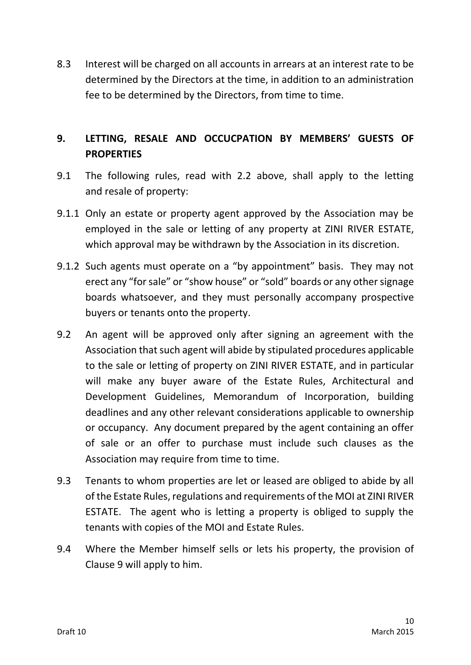8.3 Interest will be charged on all accounts in arrears at an interest rate to be determined by the Directors at the time, in addition to an administration fee to be determined by the Directors, from time to time.

# **9. LETTING, RESALE AND OCCUCPATION BY MEMBERS' GUESTS OF PROPERTIES**

- 9.1 The following rules, read with 2.2 above, shall apply to the letting and resale of property:
- 9.1.1 Only an estate or property agent approved by the Association may be employed in the sale or letting of any property at ZINI RIVER ESTATE, which approval may be withdrawn by the Association in its discretion.
- 9.1.2 Such agents must operate on a "by appointment" basis. They may not erect any "for sale" or "show house" or "sold" boards or any other signage boards whatsoever, and they must personally accompany prospective buyers or tenants onto the property.
- 9.2 An agent will be approved only after signing an agreement with the Association that such agent will abide by stipulated procedures applicable to the sale or letting of property on ZINI RIVER ESTATE, and in particular will make any buyer aware of the Estate Rules, Architectural and Development Guidelines, Memorandum of Incorporation, building deadlines and any other relevant considerations applicable to ownership or occupancy. Any document prepared by the agent containing an offer of sale or an offer to purchase must include such clauses as the Association may require from time to time.
- 9.3 Tenants to whom properties are let or leased are obliged to abide by all of the Estate Rules, regulations and requirements of the MOI at ZINI RIVER ESTATE. The agent who is letting a property is obliged to supply the tenants with copies of the MOI and Estate Rules.
- 9.4 Where the Member himself sells or lets his property, the provision of Clause 9 will apply to him.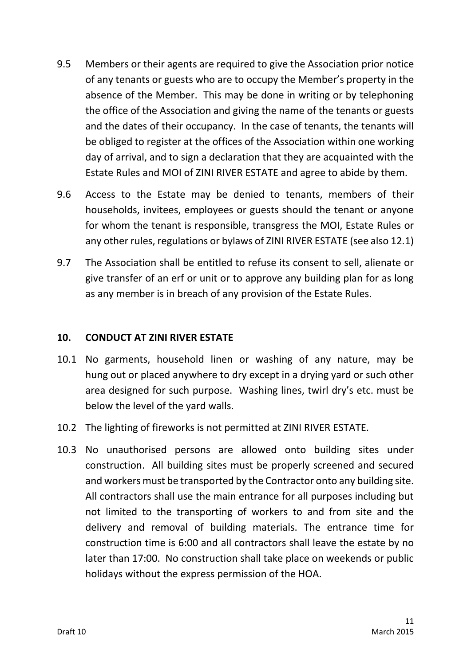- 9.5 Members or their agents are required to give the Association prior notice of any tenants or guests who are to occupy the Member's property in the absence of the Member. This may be done in writing or by telephoning the office of the Association and giving the name of the tenants or guests and the dates of their occupancy. In the case of tenants, the tenants will be obliged to register at the offices of the Association within one working day of arrival, and to sign a declaration that they are acquainted with the Estate Rules and MOI of ZINI RIVER ESTATE and agree to abide by them.
- 9.6 Access to the Estate may be denied to tenants, members of their households, invitees, employees or guests should the tenant or anyone for whom the tenant is responsible, transgress the MOI, Estate Rules or any other rules, regulations or bylaws of ZINI RIVER ESTATE (see also 12.1)
- 9.7 The Association shall be entitled to refuse its consent to sell, alienate or give transfer of an erf or unit or to approve any building plan for as long as any member is in breach of any provision of the Estate Rules.

#### **10. CONDUCT AT ZINI RIVER ESTATE**

- 10.1 No garments, household linen or washing of any nature, may be hung out or placed anywhere to dry except in a drying yard or such other area designed for such purpose. Washing lines, twirl dry's etc. must be below the level of the yard walls.
- 10.2 The lighting of fireworks is not permitted at ZINI RIVER ESTATE.
- 10.3 No unauthorised persons are allowed onto building sites under construction. All building sites must be properly screened and secured and workers must be transported by the Contractor onto any building site. All contractors shall use the main entrance for all purposes including but not limited to the transporting of workers to and from site and the delivery and removal of building materials. The entrance time for construction time is 6:00 and all contractors shall leave the estate by no later than 17:00. No construction shall take place on weekends or public holidays without the express permission of the HOA.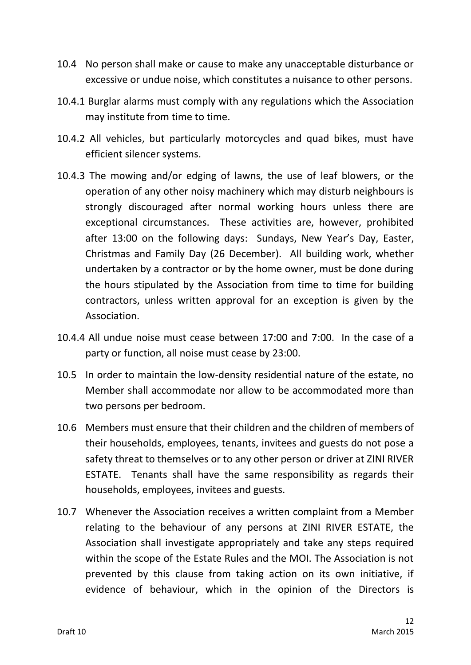- 10.4 No person shall make or cause to make any unacceptable disturbance or excessive or undue noise, which constitutes a nuisance to other persons.
- 10.4.1 Burglar alarms must comply with any regulations which the Association may institute from time to time.
- 10.4.2 All vehicles, but particularly motorcycles and quad bikes, must have efficient silencer systems.
- 10.4.3 The mowing and/or edging of lawns, the use of leaf blowers, or the operation of any other noisy machinery which may disturb neighbours is strongly discouraged after normal working hours unless there are exceptional circumstances. These activities are, however, prohibited after 13:00 on the following days: Sundays, New Year's Day, Easter, Christmas and Family Day (26 December). All building work, whether undertaken by a contractor or by the home owner, must be done during the hours stipulated by the Association from time to time for building contractors, unless written approval for an exception is given by the Association.
- 10.4.4 All undue noise must cease between 17:00 and 7:00. In the case of a party or function, all noise must cease by 23:00.
- 10.5 In order to maintain the low-density residential nature of the estate, no Member shall accommodate nor allow to be accommodated more than two persons per bedroom.
- 10.6 Members must ensure that their children and the children of members of their households, employees, tenants, invitees and guests do not pose a safety threat to themselves or to any other person or driver at ZINI RIVER ESTATE. Tenants shall have the same responsibility as regards their households, employees, invitees and guests.
- 10.7 Whenever the Association receives a written complaint from a Member relating to the behaviour of any persons at ZINI RIVER ESTATE, the Association shall investigate appropriately and take any steps required within the scope of the Estate Rules and the MOI. The Association is not prevented by this clause from taking action on its own initiative, if evidence of behaviour, which in the opinion of the Directors is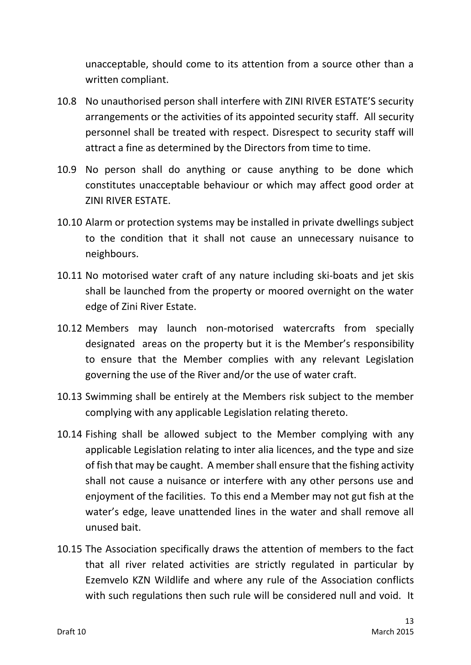unacceptable, should come to its attention from a source other than a written compliant.

- 10.8 No unauthorised person shall interfere with ZINI RIVER ESTATE'S security arrangements or the activities of its appointed security staff. All security personnel shall be treated with respect. Disrespect to security staff will attract a fine as determined by the Directors from time to time.
- 10.9 No person shall do anything or cause anything to be done which constitutes unacceptable behaviour or which may affect good order at ZINI RIVER ESTATE.
- 10.10 Alarm or protection systems may be installed in private dwellings subject to the condition that it shall not cause an unnecessary nuisance to neighbours.
- 10.11 No motorised water craft of any nature including ski-boats and jet skis shall be launched from the property or moored overnight on the water edge of Zini River Estate.
- 10.12 Members may launch non-motorised watercrafts from specially designated areas on the property but it is the Member's responsibility to ensure that the Member complies with any relevant Legislation governing the use of the River and/or the use of water craft.
- 10.13 Swimming shall be entirely at the Members risk subject to the member complying with any applicable Legislation relating thereto.
- 10.14 Fishing shall be allowed subject to the Member complying with any applicable Legislation relating to inter alia licences, and the type and size of fish that may be caught. A member shall ensure that the fishing activity shall not cause a nuisance or interfere with any other persons use and enjoyment of the facilities. To this end a Member may not gut fish at the water's edge, leave unattended lines in the water and shall remove all unused bait.
- 10.15 The Association specifically draws the attention of members to the fact that all river related activities are strictly regulated in particular by Ezemvelo KZN Wildlife and where any rule of the Association conflicts with such regulations then such rule will be considered null and void. It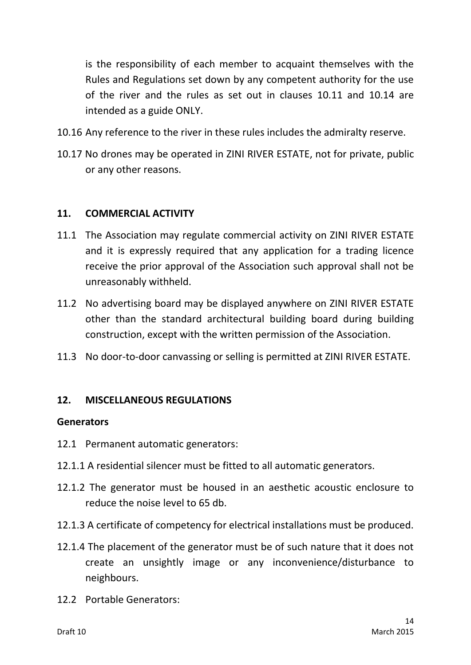is the responsibility of each member to acquaint themselves with the Rules and Regulations set down by any competent authority for the use of the river and the rules as set out in clauses 10.11 and 10.14 are intended as a guide ONLY.

- 10.16 Any reference to the river in these rules includes the admiralty reserve.
- 10.17 No drones may be operated in ZINI RIVER ESTATE, not for private, public or any other reasons.

#### **11. COMMERCIAL ACTIVITY**

- 11.1 The Association may regulate commercial activity on ZINI RIVER ESTATE and it is expressly required that any application for a trading licence receive the prior approval of the Association such approval shall not be unreasonably withheld.
- 11.2 No advertising board may be displayed anywhere on ZINI RIVER ESTATE other than the standard architectural building board during building construction, except with the written permission of the Association.
- 11.3 No door-to-door canvassing or selling is permitted at ZINI RIVER ESTATE.

### **12. MISCELLANEOUS REGULATIONS**

#### **Generators**

- 12.1 Permanent automatic generators:
- 12.1.1 A residential silencer must be fitted to all automatic generators.
- 12.1.2 The generator must be housed in an aesthetic acoustic enclosure to reduce the noise level to 65 db.
- 12.1.3 A certificate of competency for electrical installations must be produced.
- 12.1.4 The placement of the generator must be of such nature that it does not create an unsightly image or any inconvenience/disturbance to neighbours.
- 12.2 Portable Generators: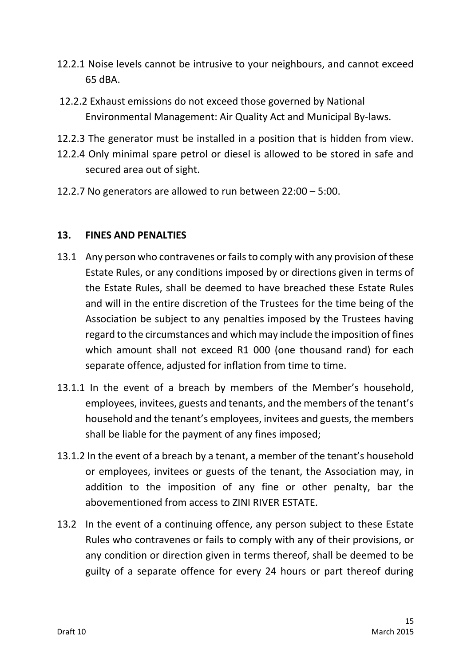- 12.2.1 Noise levels cannot be intrusive to your neighbours, and cannot exceed 65 dBA.
- 12.2.2 Exhaust emissions do not exceed those governed by National Environmental Management: Air Quality Act and Municipal By-laws.
- 12.2.3 The generator must be installed in a position that is hidden from view.
- 12.2.4 Only minimal spare petrol or diesel is allowed to be stored in safe and secured area out of sight.
- 12.2.7 No generators are allowed to run between 22:00 5:00.

# **13. FINES AND PENALTIES**

- 13.1 Any person who contravenes or fails to comply with any provision of these Estate Rules, or any conditions imposed by or directions given in terms of the Estate Rules, shall be deemed to have breached these Estate Rules and will in the entire discretion of the Trustees for the time being of the Association be subject to any penalties imposed by the Trustees having regard to the circumstances and which may include the imposition of fines which amount shall not exceed R1 000 (one thousand rand) for each separate offence, adjusted for inflation from time to time.
- 13.1.1 In the event of a breach by members of the Member's household, employees, invitees, guests and tenants, and the members of the tenant's household and the tenant's employees, invitees and guests, the members shall be liable for the payment of any fines imposed;
- 13.1.2 In the event of a breach by a tenant, a member of the tenant's household or employees, invitees or guests of the tenant, the Association may, in addition to the imposition of any fine or other penalty, bar the abovementioned from access to ZINI RIVER ESTATE.
- 13.2 In the event of a continuing offence, any person subject to these Estate Rules who contravenes or fails to comply with any of their provisions, or any condition or direction given in terms thereof, shall be deemed to be guilty of a separate offence for every 24 hours or part thereof during